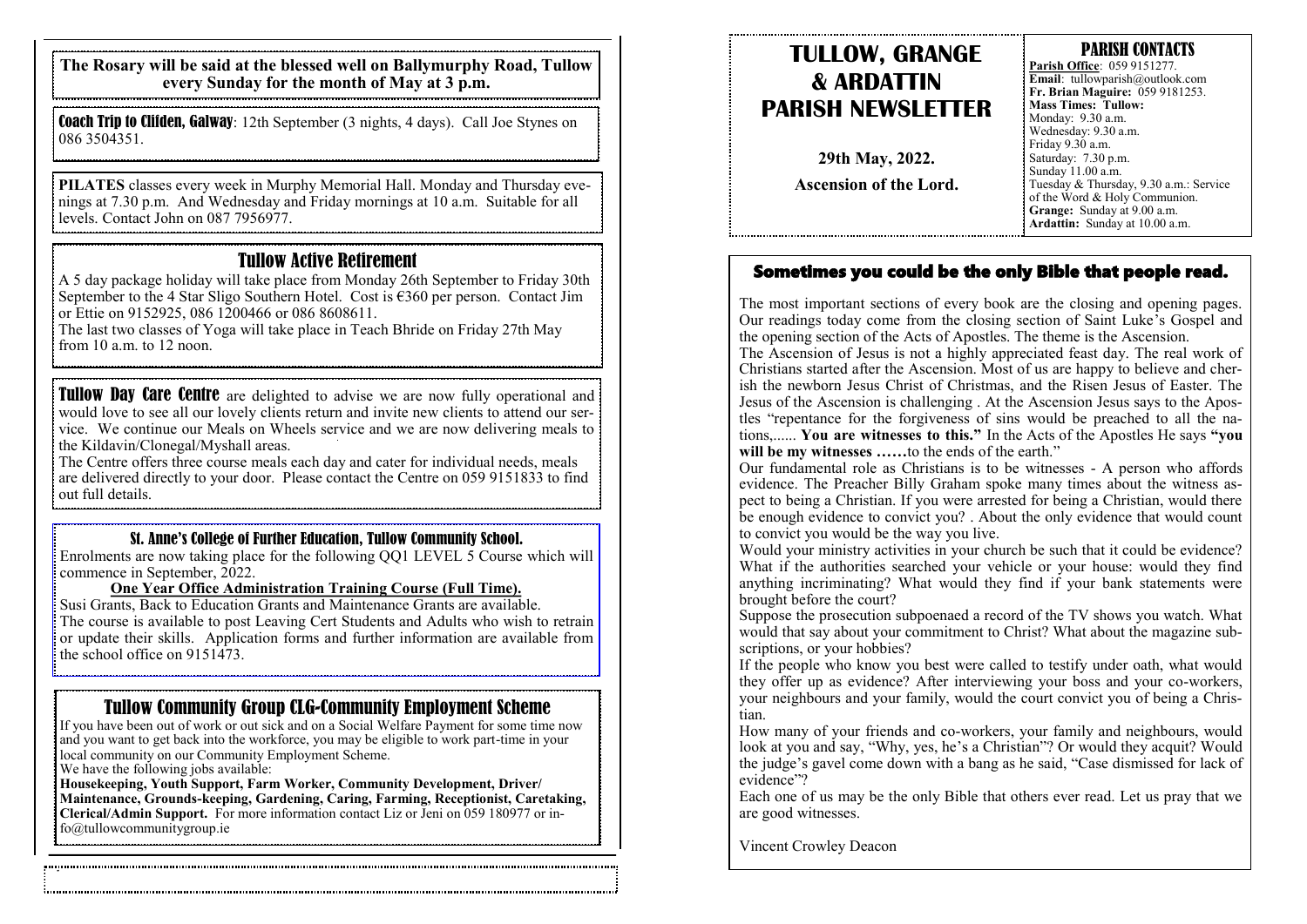**The Rosary will be said at the blessed well on Ballymurphy Road, Tullow every Sunday for the month of May at 3 p.m.**

Coach Trip to Clifden, Galway: 12th September (3 nights, 4 days). Call Joe Stynes on 086 3504351.

**PILATES** classes every week in Murphy Memorial Hall. Monday and Thursday evenings at 7.30 p.m. And Wednesday and Friday mornings at 10 a.m. Suitable for all levels. Contact John on 087 7956977.

#### Tullow Active Retirement

A 5 day package holiday will take place from Monday 26th September to Friday 30th September to the 4 Star Sligo Southern Hotel. Cost is  $\epsilon$ 360 per person. Contact Jim or Ettie on 9152925, 086 1200466 or 086 8608611.

The last two classes of Yoga will take place in Teach Bhride on Friday 27th May from 10 a.m. to 12 noon.

**Tullow Day Care Centre** are delighted to advise we are now fully operational and would love to see all our lovely clients return and invite new clients to attend our service. We continue our Meals on Wheels service and we are now delivering meals to the Kildavin/Clonegal/Myshall areas.

The Centre offers three course meals each day and cater for individual needs, meals are delivered directly to your door. Please contact the Centre on 059 9151833 to find out full details.

#### St. Anne's College of Further Education, Tullow Community School.

Enrolments are now taking place for the following QQ1 LEVEL 5 Course which will commence in September, 2022.

#### **One Year Office Administration Training Course (Full Time).**

Susi Grants, Back to Education Grants and Maintenance Grants are available. The course is available to post Leaving Cert Students and Adults who wish to retrain or update their skills. Application forms and further information are available from the school office on  $9151473$ .

### Tullow Community Group CLG-Community Employment Scheme

If you have been out of work or out sick and on a Social Welfare Payment for some time now and you want to get back into the workforce, you may be eligible to work part-time in your local community on our Community Employment Scheme.

We have the following jobs available:

**Housekeeping, Youth Support, Farm Worker, Community Development, Driver/ Maintenance, Grounds-keeping, Gardening, Caring, Farming, Receptionist, Caretaking, Clerical/Admin Support.** For more information contact Liz or Jeni on 059 180977 or info@tullowcommunitygroup.ie

## **TULLOW, GRANGE & ARDATTIN PARISH NEWSLETTER**

**29th May, 2022. Ascension of the Lord.** 

### PARISH CONTACTS

**Parish Office**: 059 9151277. **Email**: tullowparish@outlook.com **Fr. Brian Maguire:** 059 9181253. **Mass Times: Tullow:**  Monday: 9.30 a.m. Wednesday: 9.30 a.m. Friday 9.30 a.m. Saturday: 7.30 p.m. Sunday 11.00 a.m. Tuesday & Thursday, 9.30 a.m.: Service of the Word & Holy Communion. **Grange:** Sunday at 9.00 a.m. **Ardattin:** Sunday at 10.00 a.m.

#### Sometimes you could be the only Bible that people read.

The most important sections of every book are the closing and opening pages. Our readings today come from the closing section of Saint Luke's Gospel and the opening section of the Acts of Apostles. The theme is the Ascension.

The Ascension of Jesus is not a highly appreciated feast day. The real work of Christians started after the Ascension. Most of us are happy to believe and cherish the newborn Jesus Christ of Christmas, and the Risen Jesus of Easter. The Jesus of the Ascension is challenging . At the Ascension Jesus says to the Apostles "repentance for the forgiveness of sins would be preached to all the nations,...... **You are witnesses to this."** In the Acts of the Apostles He says **"you will be my witnesses ……**to the ends of the earth."

Our fundamental role as Christians is to be witnesses - A person who affords evidence. The Preacher Billy Graham spoke many times about the witness aspect to being a Christian. If you were arrested for being a Christian, would there be enough evidence to convict you? . About the only evidence that would count to convict you would be the way you live.

Would your ministry activities in your church be such that it could be evidence? What if the authorities searched your vehicle or your house: would they find anything incriminating? What would they find if your bank statements were brought before the court?

Suppose the prosecution subpoenaed a record of the TV shows you watch. What would that say about your commitment to Christ? What about the magazine subscriptions, or your hobbies?

If the people who know you best were called to testify under oath, what would they offer up as evidence? After interviewing your boss and your co-workers, your neighbours and your family, would the court convict you of being a Christian.

How many of your friends and co-workers, your family and neighbours, would look at you and say, "Why, yes, he's a Christian"? Or would they acquit? Would the judge's gavel come down with a bang as he said, "Case dismissed for lack of evidence"?

Each one of us may be the only Bible that others ever read. Let us pray that we are good witnesses.

Vincent Crowley Deacon